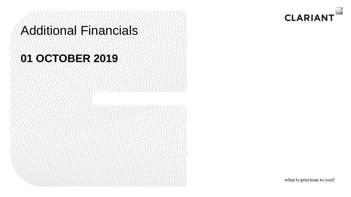## Additional Financials

## **01 OCTOBER 2019**

what is precious to you?

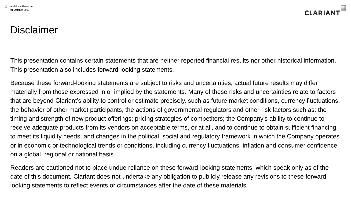

#### Disclaimer

This presentation contains certain statements that are neither reported financial results nor other historical information. This presentation also includes forward-looking statements.

Because these forward-looking statements are subject to risks and uncertainties, actual future results may differ materially from those expressed in or implied by the statements. Many of these risks and uncertainties relate to factors that are beyond Clariant's ability to control or estimate precisely, such as future market conditions, currency fluctuations, the behavior of other market participants, the actions of governmental regulators and other risk factors such as: the timing and strength of new product offerings; pricing strategies of competitors; the Company's ability to continue to receive adequate products from its vendors on acceptable terms, or at all, and to continue to obtain sufficient financing to meet its liquidity needs; and changes in the political, social and regulatory framework in which the Company operates or in economic or technological trends or conditions, including currency fluctuations, inflation and consumer confidence, on a global, regional or national basis.

Readers are cautioned not to place undue reliance on these forward-looking statements, which speak only as of the date of this document. Clariant does not undertake any obligation to publicly release any revisions to these forwardlooking statements to reflect events or circumstances after the date of these materials.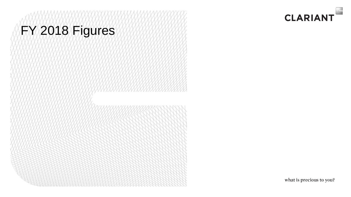# FY 2018 Figures

what is precious to you?

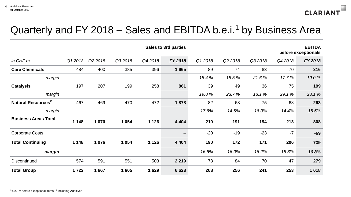

#### Quarterly and FY 2018 – Sales and EBITDA b.e.i.<sup>1</sup> by Business Area

|                                |         |         |         |         | <b>Sales to 3rd parties</b> |         |         |        |         | <b>EBITDA</b><br>before exceptionals |
|--------------------------------|---------|---------|---------|---------|-----------------------------|---------|---------|--------|---------|--------------------------------------|
| in CHF m                       | Q1 2018 | Q2 2018 | Q32018  | Q42018  | FY 2018                     | Q1 2018 | Q2 2018 | Q32018 | Q4 2018 | FY 2018                              |
| <b>Care Chemicals</b>          | 484     | 400     | 385     | 396     | 1665                        | 89      | 74      | 83     | 70      | 316                                  |
| margin                         |         |         |         |         |                             | 18.4%   | 18.5%   | 21.6%  | 17.7%   | 19.0%                                |
| <b>Catalysis</b>               | 197     | 207     | 199     | 258     | 861                         | 39      | 49      | 36     | 75      | 199                                  |
| margin                         |         |         |         |         |                             | 19.8%   | 23.7%   | 18.1%  | 29.1%   | 23.1%                                |
| Natural Resources <sup>2</sup> | 467     | 469     | 470     | 472     | 1878                        | 82      | 68      | 75     | 68      | 293                                  |
| margin                         |         |         |         |         |                             | 17.6%   | 14.5%   | 16.0%  | 14.4%   | 15.6%                                |
| <b>Business Areas Total</b>    | 1 1 4 8 | 1 0 7 6 | 1 0 5 4 | 1 1 2 6 | 4 4 0 4                     | 210     | 191     | 194    | 213     | 808                                  |
| <b>Corporate Costs</b>         |         |         |         |         |                             | $-20$   | $-19$   | $-23$  | $-7$    | $-69$                                |
| <b>Total Continuing</b>        | 1 1 4 8 | 1 0 7 6 | 1 0 5 4 | 1 1 2 6 | 4 4 0 4                     | 190     | 172     | 171    | 206     | 739                                  |
| margin                         |         |         |         |         |                             | 16.6%   | 16.0%   | 16.2%  | 18.3%   | 16.8%                                |
| Discontinued                   | 574     | 591     | 551     | 503     | 2 2 1 9                     | 78      | 84      | 70     | 47      | 279                                  |
| <b>Total Group</b>             | 1722    | 1667    | 1 605   | 1629    | 6623                        | 268     | 256     | 241    | 253     | 1018                                 |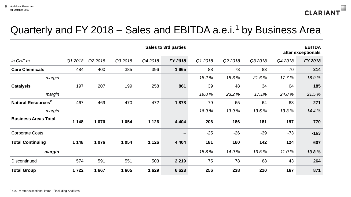

#### Quarterly and FY 2018 – Sales and EBITDA a.e.i.<sup>1</sup> by Business Area

| <b>EBITDA</b><br><b>Sales to 3rd parties</b><br>after exceptionals |         |         |         |         |         |         |         |        |         |         |
|--------------------------------------------------------------------|---------|---------|---------|---------|---------|---------|---------|--------|---------|---------|
| in CHF m                                                           | Q12018  | Q2 2018 | Q32018  | Q42018  | FY 2018 | Q1 2018 | Q2 2018 | Q32018 | Q4 2018 | FY 2018 |
| <b>Care Chemicals</b>                                              | 484     | 400     | 385     | 396     | 1665    | 88      | 73      | 83     | 70      | 314     |
| margin                                                             |         |         |         |         |         | 18.2 %  | 18.3%   | 21.6%  | 17.7%   | 18.9%   |
| <b>Catalysis</b>                                                   | 197     | 207     | 199     | 258     | 861     | 39      | 48      | 34     | 64      | 185     |
| margin                                                             |         |         |         |         |         | 19.8%   | 23.2 %  | 17.1%  | 24.8%   | 21.5%   |
| Natural Resources <sup>2</sup>                                     | 467     | 469     | 470     | 472     | 1878    | 79      | 65      | 64     | 63      | 271     |
| margin                                                             |         |         |         |         |         | 16.9%   | 13.9%   | 13.6%  | 13.3%   | 14.4 %  |
| <b>Business Areas Total</b>                                        | 1 1 4 8 | 1 0 7 6 | 1 0 5 4 | 1 1 2 6 | 4 4 0 4 | 206     | 186     | 181    | 197     | 770     |
| <b>Corporate Costs</b>                                             |         |         |         |         |         | $-25$   | $-26$   | $-39$  | $-73$   | $-163$  |
| <b>Total Continuing</b>                                            | 1 1 4 8 | 1 0 7 6 | 1 0 5 4 | 1 1 2 6 | 4 4 0 4 | 181     | 160     | 142    | 124     | 607     |
| margin                                                             |         |         |         |         |         | 15.8%   | 14.9 %  | 13.5 % | 11.0%   | 13.8%   |
| <b>Discontinued</b>                                                | 574     | 591     | 551     | 503     | 2 2 1 9 | 75      | 78      | 68     | 43      | 264     |
| <b>Total Group</b>                                                 | 1722    | 1667    | 1605    | 1629    | 6623    | 256     | 238     | 210    | 167     | 871     |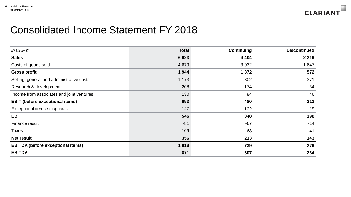

#### Consolidated Income Statement FY 2018

| in CHF m                                  | <b>Total</b> | <b>Continuing</b> | <b>Discontinued</b> |
|-------------------------------------------|--------------|-------------------|---------------------|
| <b>Sales</b>                              | 6623         | 4 4 0 4           | 2 2 1 9             |
| Costs of goods sold                       | $-4679$      | $-3032$           | $-1647$             |
| <b>Gross profit</b>                       | 1944         | 1 3 7 2           | 572                 |
| Selling, general and administrative costs | $-1173$      | $-802$            | $-371$              |
| Research & development                    | $-208$       | $-174$            | $-34$               |
| Income from associates and joint ventures | 130          | 84                | 46                  |
| <b>EBIT (before exceptional items)</b>    | 693          | 480               | 213                 |
| Exceptional items / disposals             | $-147$       | $-132$            | $-15$               |
| <b>EBIT</b>                               | 546          | 348               | 198                 |
| Finance result                            | $-81$        | $-67$             | $-14$               |
| <b>Taxes</b>                              | $-109$       | $-68$             | $-41$               |
| <b>Net result</b>                         | 356          | 213               | 143                 |
| <b>EBITDA (before exceptional items)</b>  | 1 0 18       | 739               | 279                 |
| <b>EBITDA</b>                             | 871          | 607               | 264                 |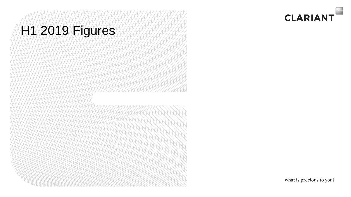# H1 2019 Figures

what is precious to you?

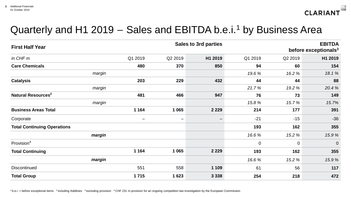

### Quarterly and H1 2019 – Sales and EBITDA b.e.i.<sup>1</sup> by Business Area

| <b>First Half Year</b>             |                   | <b>Sales to 3rd parties</b> |         |             |             | <b>EBITDA</b><br>before exceptionals <sup>3</sup> |  |
|------------------------------------|-------------------|-----------------------------|---------|-------------|-------------|---------------------------------------------------|--|
| in CHF m                           | Q1 2019           | Q2 2019                     | H1 2019 | Q1 2019     | Q2 2019     | H1 2019                                           |  |
| <b>Care Chemicals</b>              | 480               | 370                         | 850     | 94          | 60          | 154                                               |  |
| margin                             |                   |                             |         | 19.6 %      | 16.2 %      | 18.1%                                             |  |
| <b>Catalysis</b>                   | 203               | 229                         | 432     | 44          | 44          | 88                                                |  |
| margin                             |                   |                             |         | 21.7%       | 19.2 %      | 20.4%                                             |  |
| Natural Resources <sup>2</sup>     | 481               | 466                         | 947     | 76          | 73          | 149                                               |  |
| margin                             |                   |                             |         | 15.8%       | 15.7%       | 15.7%                                             |  |
| <b>Business Areas Total</b>        | 1 1 6 4           | 1 0 6 5                     | 2 2 2 9 | 214         | 177         | 391                                               |  |
| Corporate                          | $\qquad \qquad -$ | $\qquad \qquad -$           |         | $-21$       | $-15$       | $-36$                                             |  |
| <b>Total Continuing Operations</b> |                   |                             |         | 193         | 162         | 355                                               |  |
| margin                             |                   |                             |         | 16.6%       | 15.2 %      | 15.9%                                             |  |
| Provision <sup>4</sup>             |                   |                             |         | $\mathbf 0$ | $\mathbf 0$ | $\overline{0}$                                    |  |
| <b>Total Continuing</b>            | 1 1 6 4           | 1 0 6 5                     | 2 2 2 9 | 193         | 162         | 355                                               |  |
| margin                             |                   |                             |         | 16.6%       | 15.2 %      | 15.9%                                             |  |
| <b>Discontinued</b>                | 551               | 558                         | 1 1 0 9 | 61          | 56          | 117                                               |  |
| <b>Total Group</b>                 | 1715              | 1623                        | 3 3 3 8 | 254         | 218         | 472                                               |  |

 $1b.e.i.$  = before exceptional items  $2$  including Additives  $3$  excluding provision  $4$  CHF 231 m provision for an ongoing competition law investigation by the European Commission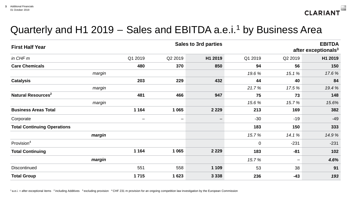

### Quarterly and H1 2019 – Sales and EBITDA a.e.i.<sup>1</sup> by Business Area

| <b>First Half Year</b>             | <b>Sales to 3rd parties</b> |                   |         |             |                          | <b>EBITDA</b><br>after exceptionals <sup>3</sup> |  |
|------------------------------------|-----------------------------|-------------------|---------|-------------|--------------------------|--------------------------------------------------|--|
| in CHF m                           | Q1 2019                     | Q2 2019           | H1 2019 | Q1 2019     | Q2 2019                  | H1 2019                                          |  |
| <b>Care Chemicals</b>              | 480                         | 370               | 850     | 94          | 56                       | 150                                              |  |
| margin                             |                             |                   |         | 19.6 %      | 15.1 %                   | 17.6 %                                           |  |
| <b>Catalysis</b>                   | 203                         | 229               | 432     | 44          | 40                       | 84                                               |  |
| margin                             |                             |                   |         | 21.7%       | 17.5 %                   | 19.4 %                                           |  |
| Natural Resources <sup>2</sup>     | 481                         | 466               | 947     | 75          | 73                       | 148                                              |  |
| margin                             |                             |                   |         | 15.6%       | 15.7%                    | 15.6%                                            |  |
| <b>Business Areas Total</b>        | 1 1 6 4                     | 1 0 6 5           | 2 2 2 9 | 213         | 169                      | 382                                              |  |
| Corporate                          | $\qquad \qquad -$           | $\qquad \qquad -$ |         | $-30$       | $-19$                    | $-49$                                            |  |
| <b>Total Continuing Operations</b> |                             |                   |         | 183         | 150                      | 333                                              |  |
| margin                             |                             |                   |         | 15.7%       | 14.1 %                   | 14.9%                                            |  |
| Provision <sup>4</sup>             |                             |                   |         | $\mathbf 0$ | $-231$                   | $-231$                                           |  |
| <b>Total Continuing</b>            | 1 1 6 4                     | 1 0 6 5           | 2 2 2 9 | 183         | -81                      | 102                                              |  |
| margin                             |                             |                   |         | 15.7%       | $\overline{\phantom{m}}$ | 4.6%                                             |  |
| <b>Discontinued</b>                | 551                         | 558               | 1 1 0 9 | 53          | 38                       | 91                                               |  |
| <b>Total Group</b>                 | 1715                        | 1623              | 3 3 3 8 | 236         | -43                      | 193                                              |  |

 $1a.e.i.$  = after exceptional items  $2$  including Additives  $3$  excluding provision  $4$  CHF 231 m provision for an ongoing competition law investigation by the European Commission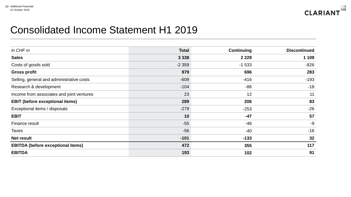

#### Consolidated Income Statement H1 2019

| in CHF m                                  | <b>Total</b> | <b>Continuing</b> | <b>Discontinued</b> |
|-------------------------------------------|--------------|-------------------|---------------------|
| <b>Sales</b>                              | 3 3 3 8      | 2 2 2 9           | 1 1 0 9             |
| Costs of goods sold                       | $-2359$      | $-1533$           | $-826$              |
| <b>Gross profit</b>                       | 979          | 696               | 283                 |
| Selling, general and administrative costs | $-609$       | $-416$            | $-193$              |
| Research & development                    | $-104$       | $-86$             | $-18$               |
| Income from associates and joint ventures | 23           | 12                | 11                  |
| <b>EBIT (before exceptional items)</b>    | 289          | 206               | 83                  |
| Exceptional items / disposals             | $-279$       | $-253$            | $-26$               |
| <b>EBIT</b>                               | 10           | $-47$             | 57                  |
| Finance result                            | $-55$        | $-46$             | $-9$                |
| <b>Taxes</b>                              | $-56$        | $-40$             | $-16$               |
| <b>Net result</b>                         | $-101$       | $-133$            | 32                  |
| <b>EBITDA</b> (before exceptional items)  | 472          | 355               | 117                 |
| <b>EBITDA</b>                             | 193          | 102               | 91                  |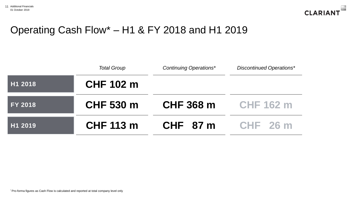

### Operating Cash Flow\* – H1 & FY 2018 and H1 2019

|                | <b>Total Group</b> | <b>Continuing Operations*</b> | <b>Discontinued Operations*</b> |
|----------------|--------------------|-------------------------------|---------------------------------|
| H1 2018        | <b>CHF 102 m</b>   |                               |                                 |
| <b>FY 2018</b> | <b>CHF 530 m</b>   | <b>CHF 368 m</b>              | <b>CHF 162 m</b>                |
| H1 2019        | <b>CHF 113 m</b>   | CHF 87 m                      | <b>CHF 26 m</b>                 |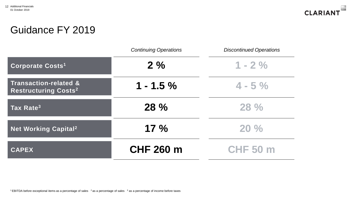

#### Guidance FY 2019

|                                                                            | <b>Continuing Operations</b> | <b>Discontinued Operations</b> |
|----------------------------------------------------------------------------|------------------------------|--------------------------------|
| <b>Corporate Costs1</b>                                                    | 2%                           | $1 - 2\%$                      |
| <b>Transaction-related &amp;</b><br><b>Restructuring Costs<sup>2</sup></b> | $1 - 1.5 \%$                 | $4 - 5\%$                      |
| Tax Rate <sup>3</sup>                                                      | 28 %                         | 28%                            |
| Net Working Capital <sup>2</sup>                                           | 17%                          | 20%                            |
| <b>CAPEX</b>                                                               | <b>CHF 260 m</b>             | <b>CHF 50 m</b>                |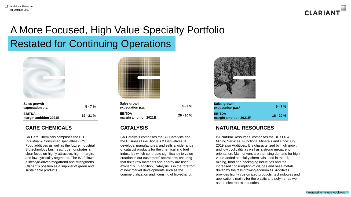

## A More Focused, High Value Specialty Portfolio Restated for Continuing Operations



| Sales growth<br>expectation p.a.       | $5 - 7%$   |
|----------------------------------------|------------|
| <b>EBITDA</b><br>margin ambition 2021E | $19 - 21%$ |

#### **CARE CHEMICALS**

BA Care Chemicals comprises the BU Industrial & Consumer Specialties (ICS), Food additives as well as the future Industrial Biotechnology business. It demonstrates a clear focus on highly attractive, high- margin, and low-cyclicality segments. The BA follows a lifestyle-driven megatrend and strengthens Clariant's position as a supplier of green and sustainable products.



| Sales growth<br>expectation p.a. | $6 - 9%$     |
|----------------------------------|--------------|
| EBITDA<br>margin ambition 2021E  | $26 - 30 \%$ |

#### **CATALYSIS**

BA Catalysis comprises the BU Catalysts and the Business Line Biofuels & Derivatives. It develops, manufactures, and sells a wide range of catalyst products for the chemical and fuel industries which contribute significantly to value creation in our customers' operations, ensuring that finite raw materials and energy are used efficiently. In addition, Catalysis is in the forefront of new market developments such as the commercialization and licensing of bio-ethanol.



| Sales growth<br>expectation p.a.*       | $5 - 7%$   |
|-----------------------------------------|------------|
| <b>EBITDA</b><br>margin ambition 2021E* | $18 - 20%$ |

#### **NATURAL RESOURCES**

BA Natural Resources, comprises the BUs Oil & Mining Services, Functional Minerals and since July 2019 also Additives. It is characterized by high growth and low cyclicality as well as a strong megatrend orientation. Main drivers are the rising demand for high value-added specialty chemicals used in the oil, mining, food and packaging industries and the increased consumption of oil, gas and base metals, driven by the fast-growing economies. Additives provides highly customized products, technologies and applications mainly for the plastic and polymer as well as the electronics industries.